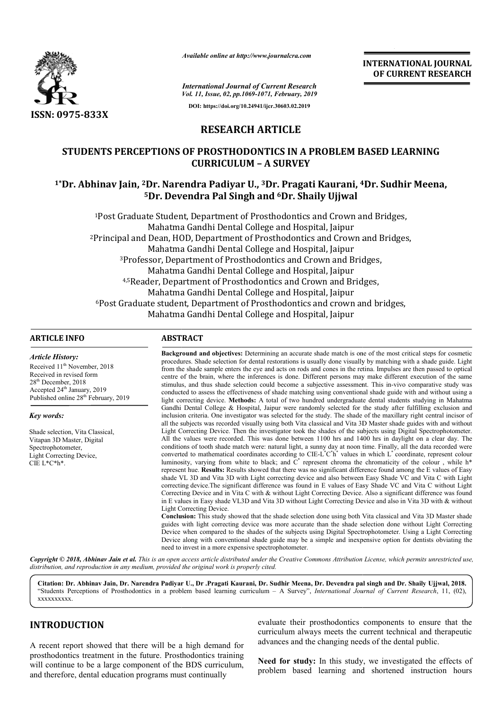

*Available online at http://www.journalcra.com*

*International Journal of Current Research Vol. 11, Issue, 02, pp.1069-1071, February, 2019* **DOI: https://doi.org/10.24941/ijcr.30603.02.2019**

**INTERNATIONAL JOURNAL OF CURRENT RESEARCH**

# **RESEARCH ARTICLE**

## **STUDENTS PERCEPTIONS OF PROSTHODONTICS IN A PROBLEM BASED LEARNING CURRICULUM – A SURVEY**

# <sup>1</sup>\*Dr. Abhinav Jain, <sup>2</sup>Dr. Narendra Padiyar U., <sup>3</sup>Dr. Pragati Kaurani, <sup>4</sup>Dr. Sudhir Meena, **5Dr. Devendra Pal Singh and 6Dr. Shaily Ujjwal**

<sup>1</sup>Post Graduate Student, Department of Prosthodontics and Crown and Bridges, Mahatma Gandhi Dental College and Hospital, Jaipur <sup>2</sup>Principal and Dean, HOD, Department of Prosthodontics and Crown and Bridges, Mahatma Gandhi Dental College and Hospital, Jaipur 3Professor, Department of Prosthodontics and Crown and Bridges Bridges, Mahatma Gandhi Dental College and Hospital, Jaipur 4,5Reader, Department of Prosthodontics and Crown and Bridges Bridges, Mahatma Gandhi Dental College and Hospital, Jaipur <sup>6</sup>Post Graduate student, Department of Prosthodontics and crown and bridges, Mahatma Gandhi Dental College and Hospital, Jaipur

### **ARTICLE INFO ABSTRACT**

#### *Article History:*

Received 11<sup>th</sup> November, 2018 Received in revised form 28th December, 2018 Accepted 24<sup>th</sup> January, 2019 Published online 28<sup>th</sup> February, 2019

*Key words:*

Shade selection, Vita Classical, Vitapan 3D Master, Digital Spectrophotometer, Light Correcting Device, CIE L\*C\*h\*.

**Background and objectives:**  Determining an accurate shade match is one of the most critical steps for cosmetic procedures. Shade selection for dental restorations is usually done visually by matching with a shade guide. Light from the shade sample enters the eye and acts on rods and cones in the retina. Impulses are then passed to optical centre of the brain, where the inferences is done. Different persons may make different execution of the same **Background and objectives:** Determining an accurate shade match is one of the most critical steps for cosmetic procedures. Shade selection for dental restorations is usually done visually by matching with a shade guide. L conducted to assess the effectiveness of shade matching using conventional shade guide with and without using a light correcting device. **Methods:** A total of two hundred undergraduate dental students studying in Mahatma Gandhi Dental College & Hospital, Jaipur were randomly selected for the study after fulfilling exclusion and inclusion criteria. One investigator was selected for the study. The shade of the maxillary right central incisor of all the subjects was recorded visually using both Vita classical and Vita 3D Master shade guides with and without Light Correcting Device. Then the investigator took the shades of the subjects using Digital Spectrophotometer. All the values were recorded. This was done between 1100 hrs and 1400 hrs in daylight on a clear day. The conditions of tooth shade match were: natural light, a sunny day at noon time. Finally, all the data recorded were converted to mathematical coordinates according to  $CIE-L^*C^*h^*$  values in which L luminosity, varying from white to black; and  $\tilde{C}^*$  represent chroma the chromaticity of the colour , while h\* represent hue. **Results:** Results showed that there was no significant difference found among the E values represent hue. **Results:** Results showed that there was no significant difference found among the E values of shade VL 3D and Vita 3D with Light correcting device and also between Easy Shade VC and Vita C with Light correcting device. The significant difference was found in E values of Easy Shade VC and Vita C without Light Correcting Device and in Vita C with & without Light Correcting Device. Also a significant difference was found in E values in Easy shade VL3D and Vita 3D without Light Correcting Device and also in Vita 3D with & without Light Correcting Device. light correcting device. Methods: A total of two hundred undergraduate dental students studying in Mahatma Gandhi Dental College & Hospital, Jaipur were randomly selected for the study after fulfilling exclusion and inclus correcting device.The significant difference was found in E values of Easy Shade VC and Vita C without Light Correcting Device and in Vita C with & without Light Correcting Device. Also a significant difference was found i

**Conclusion:**  This study showed that the shade selection done using both Vita classical and Vita 3D Master shade guides with light correcting device was more accurate than the shade selection done without Light Correcting Device when compared to the shades of the subjects using Digital Spectrophotometer Device along with conventional shade guide may be a simple and inexpensive option for dentists obviating the need to invest in a more expensive spectrophotometer.

Copyright © 2018, Abhinav Jain et al. This is an open access article distributed under the Creative Commons Attribution License, which permits unrestricted use, *distribution, and reproduction in any medium, provided the original work is properly cited.*

Citation: Dr. Abhinav Jain, Dr. Narendra Padiyar U., Dr .Pragati Kaurani, Dr. Sudhir Meena, Dr. Devendra pal singh and Dr. Shaily Ujjwal, 2018. "Students Perceptions of Prosthodontics in a problem based learning curriculum – A Survey", *International Journal of Current Research*, 11, (02), xxxxxxxxxx.

# **INTRODUCTION**

A recent report showed that there will be a high demand for prosthodontics treatment in the future. Prosthodontics training will continue to be a large component of the BDS curriculum, and therefore, dental education programs must continually

evaluate their prosthodontics components to ensure that the curriculum always meets the current technical and therapeutic advances and the changing needs of the dental public. Exerciculum always meets the current technical and therapeutic<br>advances and the changing needs of the dental public.<br>Need for study: In this study, we investigated the effects of

problem based learning and shortened instruction hours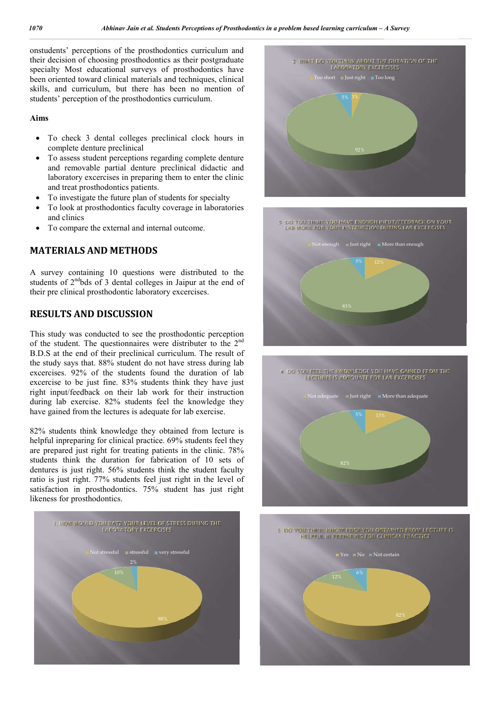onstudents' perceptions of the prosthodontics curriculum and their decision of choosing prosthodontics as their postgraduate specialty Most educational surveys of prosthodontics have been oriented toward clinical materials and techniques, clinical skills, and curriculum, but there has been no mention of students' perception of the prosthodontics curriculum.

### **Aims**

- To check 3 dental colleges preclinical clock hours in complete denture preclinical
- To assess student perceptions regarding complete denture and removable partial denture preclinical didactic and laboratory excercises in preparing them to enter the clinic and treat prosthodontics patients.
- To investigate the future plan of students for specialty
- To look at prosthodontics faculty coverage in laboratories and clinics
- To compare the external and internal outcome.

## **MATERIALS AND METHODS**

A survey containing 10 questions were distributed to the students of 2<sup>nd</sup>bds of 3 dental colleges in Jaipur at the end of their pre clinical prosthodontic laboratory excercises.

## **RESULTS AND DISCUSSION**

This study was conducted to see the prosthodontic perception of the student. The questionnaires were distributer to the 2<sup>nd</sup> B.D.S at the end of their preclinical curriculum. The result of the study says that. 88% student do not have stress during lab excercises. 92% of the students found the duration of lab excercise to be just fine. 83% students think they have just right input/feedback on their lab work for their instruction during lab exercise. 82% students feel the knowledge they have gained from the lectures is adequate for lab exercise.

82% students think knowledge they obtained from lecture is helpful inpreparing for clinical practice. 69% students feel they are prepared just right for treating patients in the clinic. 78% students think the duration for fabrication of 10 sets of dentures is just right. 56% students think the student faculty ratio is just right. 77% students feel just right in the level of satisfaction in prosthodontics. 75% student has just right likeness for prosthodontics.





**3 DO YOU THINK YOU HAVE ENOUGH INPUT/FEEDBACK ON YOUR LAB WORK FOR YOUR INSTRUCTION DURING LAB EXCERCISES**